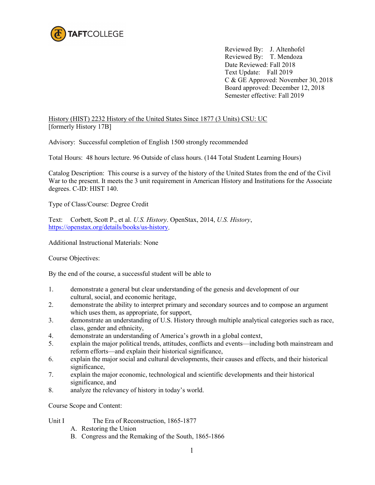

Reviewed By: J. Altenhofel Reviewed By: T. Mendoza Date Reviewed: Fall 2018 Text Update: Fall 2019 C & GE Approved: November 30, 2018 Board approved: December 12, 2018 Semester effective: Fall 2019

History (HIST) 2232 History of the United States Since 1877 (3 Units) CSU: UC [formerly History 17B]

Advisory: Successful completion of English 1500 strongly recommended

Total Hours: 48 hours lecture. 96 Outside of class hours. (144 Total Student Learning Hours)

Catalog Description: This course is a survey of the history of the United States from the end of the Civil War to the present. It meets the 3 unit requirement in American History and Institutions for the Associate degrees. C-ID: HIST 140.

Type of Class/Course: Degree Credit

Text: Corbett, Scott P., et al. *U.S. History*. OpenStax, 2014, *U.S. History*, [https://openstax.org/details/books/us-history.](https://openstax.org/details/books/us-history)

Additional Instructional Materials: None

Course Objectives:

By the end of the course, a successful student will be able to

- 1. demonstrate a general but clear understanding of the genesis and development of our cultural, social, and economic heritage,
- 2. demonstrate the ability to interpret primary and secondary sources and to compose an argument which uses them, as appropriate, for support,
- 3. demonstrate an understanding of U.S. History through multiple analytical categories such as race, class, gender and ethnicity,
- 4. demonstrate an understanding of America's growth in a global context,
- 5. explain the major political trends, attitudes, conflicts and events—including both mainstream and reform efforts—and explain their historical significance,
- 6. explain the major social and cultural developments, their causes and effects, and their historical significance,
- 7. explain the major economic, technological and scientific developments and their historical significance, and
- 8. analyze the relevancy of history in today's world.

Course Scope and Content:

- Unit I The Era of Reconstruction, 1865-1877
	- A. Restoring the Union
	- B. Congress and the Remaking of the South, 1865-1866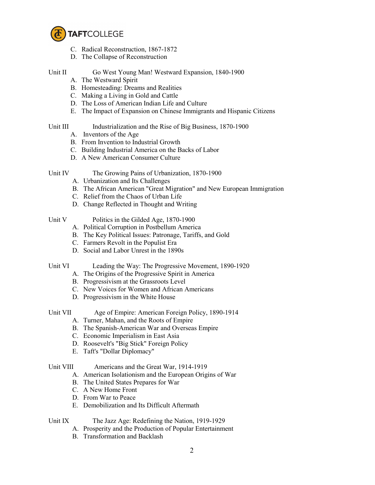

- C. Radical Reconstruction, 1867-1872
- D. The Collapse of Reconstruction

Unit II Go West Young Man! Westward Expansion, 1840-1900

- A. The Westward Spirit
- B. Homesteading: Dreams and Realities
- C. Making a Living in Gold and Cattle
- D. The Loss of American Indian Life and Culture
- E. The Impact of Expansion on Chinese Immigrants and Hispanic Citizens

# Unit III Industrialization and the Rise of Big Business, 1870-1900

- A. Inventors of the Age
- B. From Invention to Industrial Growth
- C. Building Industrial America on the Backs of Labor
- D. A New American Consumer Culture

- Unit IV The Growing Pains of Urbanization, 1870-1900
	- A. Urbanization and Its Challenges
	- B. The African American "Great Migration" and New European Immigration
	- C. Relief from the Chaos of Urban Life
	- D. Change Reflected in Thought and Writing

# Unit V Politics in the Gilded Age, 1870-1900

- A. Political Corruption in Postbellum America
- B. The Key Political Issues: Patronage, Tariffs, and Gold
- C. Farmers Revolt in the Populist Era
- D. Social and Labor Unrest in the 1890s

- Unit VI Leading the Way: The Progressive Movement, 1890-1920
	- A. The Origins of the Progressive Spirit in America
	- B. Progressivism at the Grassroots Level
	- C. New Voices for Women and African Americans
	- D. Progressivism in the White House
- Unit VII Age of Empire: American Foreign Policy, 1890-1914
	- A. Turner, Mahan, and the Roots of Empire
	- B. The Spanish-American War and Overseas Empire
	- C. Economic Imperialism in East Asia
	- D. Roosevelt's "Big Stick" Foreign Policy
	- E. Taft's "Dollar Diplomacy"

### Unit VIII Americans and the Great War, 1914-1919

- A. American Isolationism and the European Origins of War
- B. The United States Prepares for War
- C. A New Home Front
- D. From War to Peace
- E. Demobilization and Its Difficult Aftermath

# Unit IX The Jazz Age: Redefining the Nation, 1919-1929

- A. Prosperity and the Production of Popular Entertainment
- B. Transformation and Backlash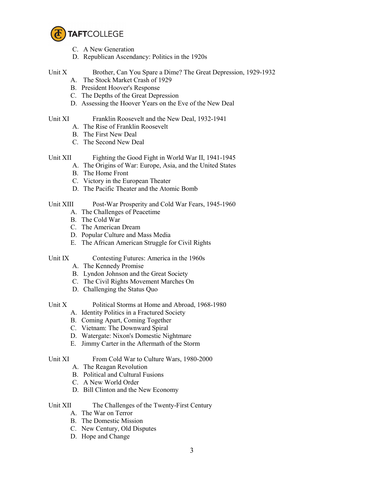

- C. A New Generation
- D. Republican Ascendancy: Politics in the 1920s

# Unit X Brother, Can You Spare a Dime? The Great Depression, 1929-1932

- A. The Stock Market Crash of 1929
- B. President Hoover's Response
- C. The Depths of the Great Depression
- D. Assessing the Hoover Years on the Eve of the New Deal

### Unit XI Franklin Roosevelt and the New Deal, 1932-1941

- A. The Rise of Franklin Roosevelt
- B. The First New Deal
- C. The Second New Deal

# Unit XII Fighting the Good Fight in World War II, 1941-1945

- A. The Origins of War: Europe, Asia, and the United States
- B. The Home Front
- C. Victory in the European Theater
- D. The Pacific Theater and the Atomic Bomb

# Unit XIII Post-War Prosperity and Cold War Fears, 1945-1960

- A. The Challenges of Peacetime
- B. The Cold War
- C. The American Dream
- D. Popular Culture and Mass Media
- E. The African American Struggle for Civil Rights
- Unit IX Contesting Futures: America in the 1960s
	- A. The Kennedy Promise
	- B. Lyndon Johnson and the Great Society
	- C. The Civil Rights Movement Marches On
	- D. Challenging the Status Quo

- Unit X Political Storms at Home and Abroad, 1968-1980
	- A. Identity Politics in a Fractured Society
	- B. Coming Apart, Coming Together
	- C. Vietnam: The Downward Spiral
	- D. Watergate: Nixon's Domestic Nightmare
	- E. Jimmy Carter in the Aftermath of the Storm
- Unit XI From Cold War to Culture Wars, 1980-2000
	- A. The Reagan Revolution
	- B. Political and Cultural Fusions
	- C. A New World Order
	- D. Bill Clinton and the New Economy

# Unit XII The Challenges of the Twenty-First Century

- A. The War on Terror
- B. The Domestic Mission
- C. New Century, Old Disputes
- D. Hope and Change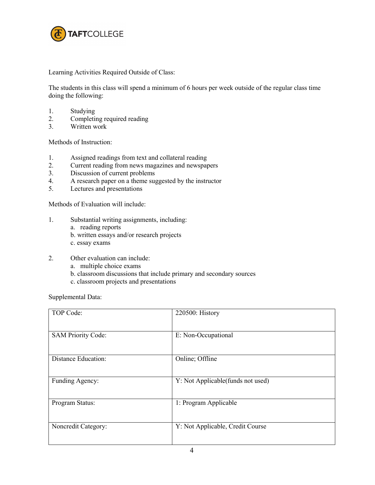

Learning Activities Required Outside of Class:

The students in this class will spend a minimum of 6 hours per week outside of the regular class time doing the following:

- 1. Studying
- 2. Completing required reading
- 3. Written work

Methods of Instruction:

- 1. Assigned readings from text and collateral reading
- 2. Current reading from news magazines and newspapers
- 3. Discussion of current problems
- 4. A research paper on a theme suggested by the instructor<br>5. Lectures and presentations
- Lectures and presentations

Methods of Evaluation will include:

- 1. Substantial writing assignments, including:
	- a. reading reports
	- b. written essays and/or research projects
	- c. essay exams
- 2. Other evaluation can include:
	- a. multiple choice exams
	- b. classroom discussions that include primary and secondary sources
	- c. classroom projects and presentations

Supplemental Data:

| TOP Code:                  | 220500: History                   |
|----------------------------|-----------------------------------|
| <b>SAM Priority Code:</b>  | E: Non-Occupational               |
| <b>Distance Education:</b> | Online; Offline                   |
| Funding Agency:            | Y: Not Applicable(funds not used) |
| Program Status:            | 1: Program Applicable             |
| Noncredit Category:        | Y: Not Applicable, Credit Course  |